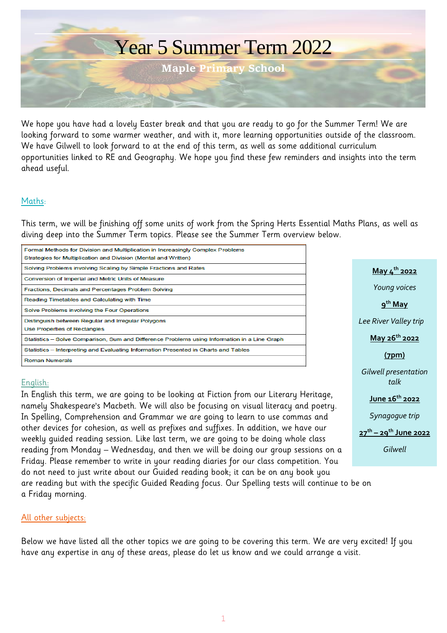

We hope you have had a lovely Easter break and that you are ready to go for the Summer Term! We are looking forward to some warmer weather, and with it, more learning opportunities outside of the classroom. We have Gilwell to look forward to at the end of this term, as well as some additional curriculum opportunities linked to RE and Geography. We hope you find these few reminders and insights into the term ahead useful.

## Maths:

This term, we will be finishing off some units of work from the Spring Herts Essential Maths Plans, as well as diving deep into the Summer Term topics. Please see the Summer Term overview below.

| Formal Methods for Division and Multiplication in Increasingly Complex Problems<br>Strategies for Multiplication and Division (Mental and Written) |
|----------------------------------------------------------------------------------------------------------------------------------------------------|
| Solving Problems involving Scaling by Simple Fractions and Rates                                                                                   |
| Conversion of Imperial and Metric Units of Measure                                                                                                 |
| Fractions, Decimals and Percentages Problem Solving                                                                                                |
| Reading Timetables and Calculating with Time                                                                                                       |
| Solve Problems involving the Four Operations                                                                                                       |
| Distinguish between Regular and Irregular Polygons<br>Use Properties of Rectangles                                                                 |
| Statistics – Solve Comparison, Sum and Difference Problems using Information in a Line Graph                                                       |
| Statistics – Interpreting and Evaluating Information Presented in Charts and Tables                                                                |
| <b>Roman Numerals</b>                                                                                                                              |
|                                                                                                                                                    |

## English:

In English this term, we are going to be looking at Fiction from our Literary Heritage, namely Shakespeare's Macbeth. We will also be focusing on visual literacy and poetry. In Spelling, Comprehension and Grammar we are going to learn to use commas and other devices for cohesion, as well as prefixes and suffixes. In addition, we have our weekly guided reading session. Like last term, we are going to be doing whole class reading from Monday – Wednesday, and then we will be doing our group sessions on a Friday. Please remember to write in your reading diaries for our class competition. You do not need to just write about our Guided reading book; it can be on any book you are reading but with the specific Guided Reading focus. Our Spelling tests will continue to be on a Friday morning.

## All other subjects:

Below we have listed all the other topics we are going to be covering this term. We are very excited! If you have any expertise in any of these areas, please do let us know and we could arrange a visit.

**May 4 th 2022** *Young voices* **9 th May** *Lee River Valley trip* **May 26th 2022 (7pm)** *Gilwell presentation talk* **June 16th 2022** *Synagogue trip* **27th – 29th June 2022** *Gilwell*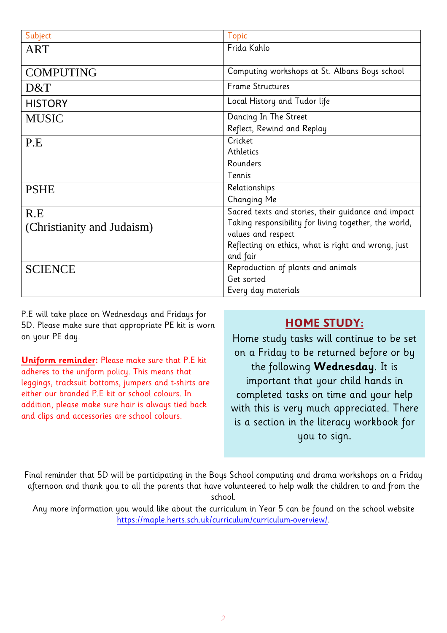| Subject                    | <b>Topic</b>                                          |
|----------------------------|-------------------------------------------------------|
| <b>ART</b>                 | Frida Kahlo                                           |
|                            |                                                       |
| <b>COMPUTING</b>           | Computing workshops at St. Albans Boys school         |
| D&T                        | <b>Frame Structures</b>                               |
| <b>HISTORY</b>             | Local History and Tudor life                          |
| <b>MUSIC</b>               | Dancing In The Street                                 |
|                            | Reflect, Rewind and Replay                            |
| P.E                        | Cricket                                               |
|                            | Athletics                                             |
|                            | Rounders                                              |
|                            | Tennis                                                |
| <b>PSHE</b>                | Relationships                                         |
|                            | Changing Me                                           |
| R.E                        | Sacred texts and stories, their guidance and impact   |
| (Christianity and Judaism) | Taking responsibility for living together, the world, |
|                            | values and respect                                    |
|                            | Reflecting on ethics, what is right and wrong, just   |
|                            | and fair                                              |
| <b>SCIENCE</b>             | Reproduction of plants and animals                    |
|                            | Get sorted                                            |
|                            | Every day materials                                   |

P.E will take place on Wednesdays and Fridays for 5D. Please make sure that appropriate PE kit is worn on your PE day.

**Uniform reminder:** Please make sure that P.E kit adheres to the uniform policy. This means that leggings, tracksuit bottoms, jumpers and t-shirts are either our branded P.E kit or school colours. In addition, please make sure hair is always tied back and clips and accessories are school colours.

## **HOME STUDY:**

Home study tasks will continue to be set on a Friday to be returned before or by the following **Wednesday**. It is important that your child hands in completed tasks on time and your help with this is very much appreciated. There is a section in the literacy workbook for you to sign.

Final reminder that 5D will be participating in the Boys School computing and drama workshops on a Friday afternoon and thank you to all the parents that have volunteered to help walk the children to and from the school.

Any more information you would like about the curriculum in Year 5 can be found on the school website [https://maple.herts.sch.uk/curriculum/curriculum-overview/.](https://maple.herts.sch.uk/curriculum/curriculum-overview/)